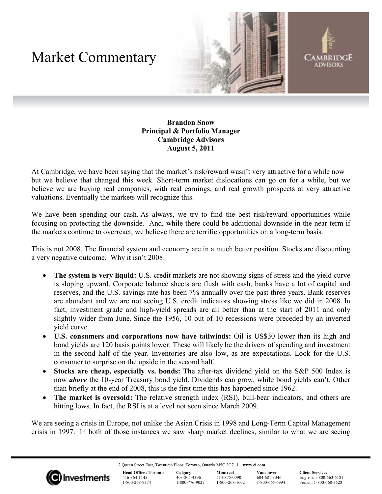## Market Commentary





## **Brandon Snow Principal & Portfolio Manager Cambridge Advisors August 5, 2011**

At Cambridge, we have been saying that the market's risk/reward wasn't very attractive for a while now – but we believe that changed this week. Short-term market dislocations can go on for a while, but we believe we are buying real companies, with real earnings, and real growth prospects at very attractive valuations. Eventually the markets will recognize this.

We have been spending our cash. As always, we try to find the best risk/reward opportunities while focusing on protecting the downside. And, while there could be additional downside in the near term if the markets continue to overreact, we believe there are terrific opportunities on a long-term basis.

This is not 2008. The financial system and economy are in a much better position. Stocks are discounting a very negative outcome. Why it isn't 2008:

- **The system is very liquid:** U.S. credit markets are not showing signs of stress and the yield curve is sloping upward. Corporate balance sheets are flush with cash, banks have a lot of capital and reserves, and the U.S. savings rate has been 7% annually over the past three years. Bank reserves are abundant and we are not seeing U.S. credit indicators showing stress like we did in 2008. In fact, investment grade and high-yield spreads are all better than at the start of 2011 and only slightly wider from June. Since the 1956, 10 out of 10 recessions were preceded by an inverted yield curve.
- **U.S. consumers and corporations now have tailwinds:** Oil is US\$30 lower than its high and bond yields are 120 basis points lower. These will likely be the drivers of spending and investment in the second half of the year. Inventories are also low, as are expectations. Look for the U.S. consumer to surprise on the upside in the second half.
- **Stocks are cheap, especially vs. bonds:** The after-tax dividend yield on the S&P 500 Index is now *above* the 10-year Treasury bond yield. Dividends can grow, while bond yields can't. Other than briefly at the end of 2008, this is the first time this has happened since 1962.
- **The market is oversold:** The relative strength index (RSI), bull-bear indicators, and others are hitting lows. In fact, the RSI is at a level not seen since March 2009.

We are seeing a crisis in Europe, not unlike the Asian Crisis in 1998 and Long-Term Capital Management crisis in 1997. In both of those instances we saw sharp market declines, similar to what we are seeing

2 Queen Street East, Twentieth Floor, Toronto, Ontario M5C 3G7 I **www.ci.com**



**Head Office / Toronto**  416-364-1145 1-800-268-9374

**Calgary**  403-205-4396 1-800-776-9027 **Montreal**  514-875-0090 1-800-268-1602 **Vancouver**  604-681-3346 1-800-665-6994